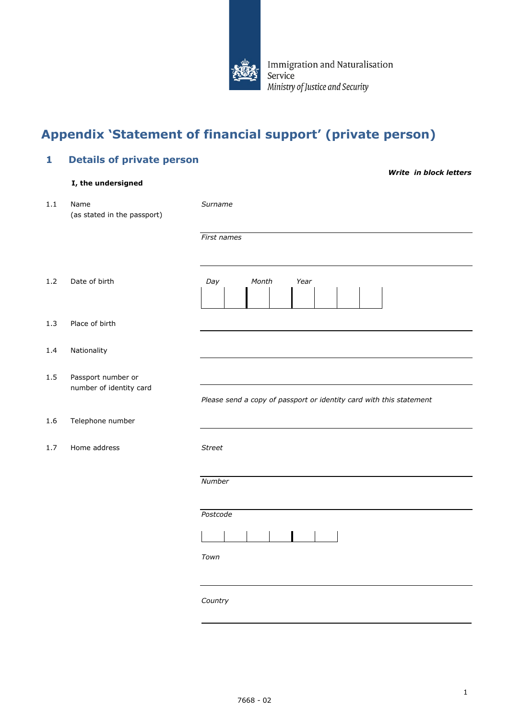

Immigration and Naturalisation Service Ministry of Justice and Security

## **Appendix 'Statement of financial support' (private person)**

# **1 Details of private person**  *Write in block letters*  **I, the undersigned** 1.1 Name *Surname* (as stated in the passport) *First names* 1.2 Date of birth *Day Month Year* 1.3 Place of birth 1.4 Nationality 1.5 Passport number or number of identity card *Please send a copy of passport or identity card with this statement* 1.6 Telephone number 1.7 Home address *Street Number Postcode*  $\blacksquare$ *Town Country*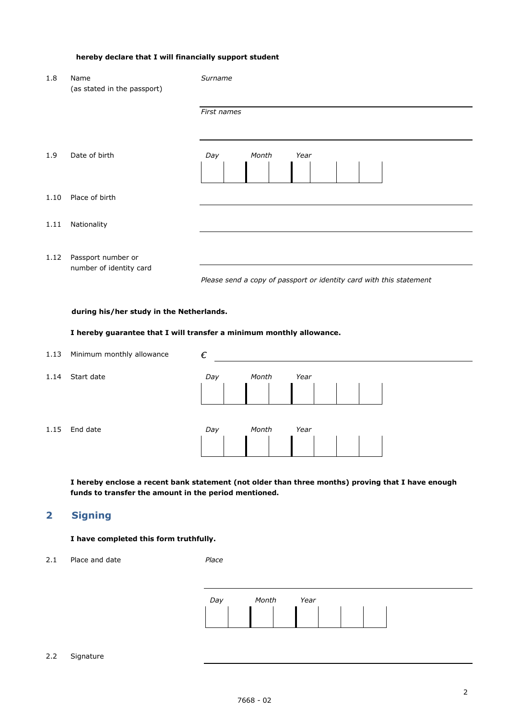## **hereby declare that I will financially support student**

| 1.8  | Name<br>(as stated in the passport)           | Surname                                                             |  |  |
|------|-----------------------------------------------|---------------------------------------------------------------------|--|--|
|      |                                               | First names                                                         |  |  |
| 1.9  | Date of birth                                 | Day<br>Month<br>Year                                                |  |  |
| 1.10 | Place of birth                                |                                                                     |  |  |
| 1.11 | Nationality                                   |                                                                     |  |  |
| 1.12 | Passport number or<br>number of identity card | Please send a copy of passport or identity card with this statement |  |  |
|      | during his/her study in the Netherlands.      |                                                                     |  |  |

## **I hereby guarantee that I will transfer a minimum monthly allowance.**

| 1.13 | Minimum monthly allowance | €   |       |      |  |
|------|---------------------------|-----|-------|------|--|
| 1.14 | Start date                | Day | Month | Year |  |
|      |                           |     |       |      |  |
|      |                           |     |       |      |  |
| 1.15 | End date                  | Day | Month | Year |  |
|      |                           |     |       |      |  |

**I hereby enclose a recent bank statement (not older than three months) proving that I have enough funds to transfer the amount in the period mentioned.**

## **2 Signing**

## **I have completed this form truthfully.**

2.1 Place and date *Place*

| Day | Month | Year |
|-----|-------|------|
|     |       |      |

#### 2.2 Signature